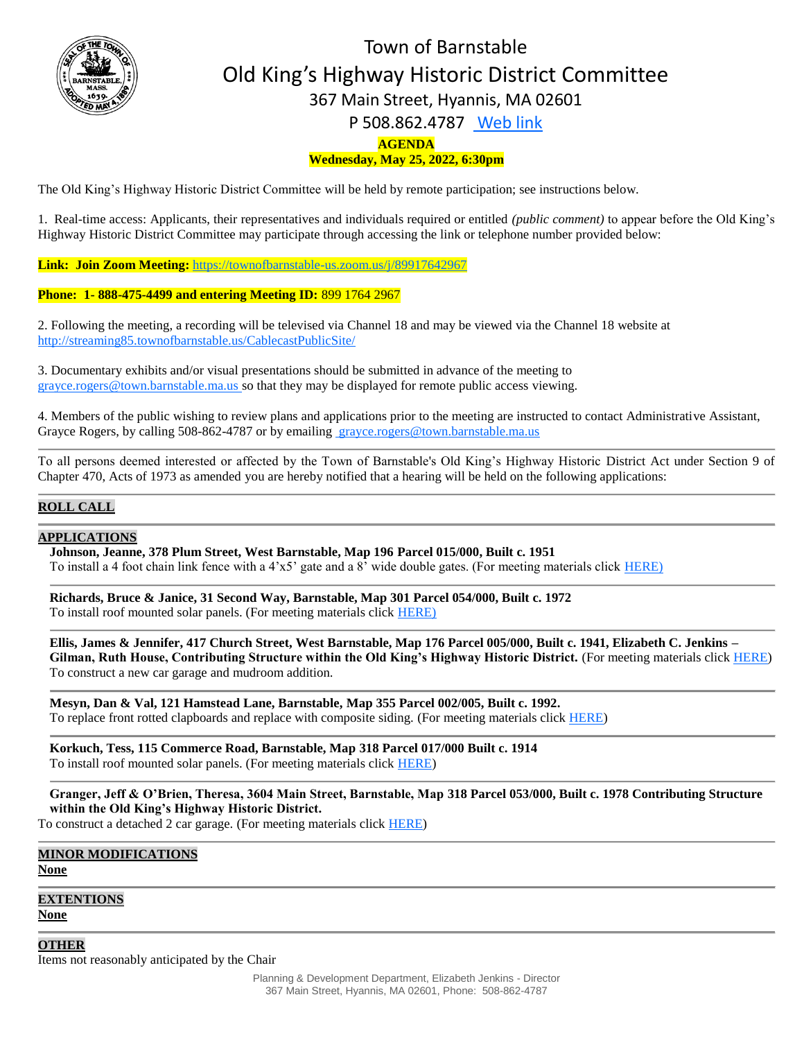

# **AGENDA** Town of Barnstable Old King's Highway Historic District Committee 367 Main Street, Hyannis, MA 02601 P 508.862.4787 [Web link](https://tobweb.town.barnstable.ma.us/boardscommittees/OldKingsHighway/?brd=Old+King%27s+Highway&year=2021)

# **Wednesday, May 25, 2022, 6:30pm**

The Old King's Highway Historic District Committee will be held by remote participation; see instructions below.

1. Real-time access: Applicants, their representatives and individuals required or entitled *(public comment)* to appear before the Old King's Highway Historic District Committee may participate through accessing the link or telephone number provided below:

**Link: Join Zoom Meeting:** <https://townofbarnstable-us.zoom.us/j/89917642967>

#### **Phone: 1- 888-475-4499 and entering Meeting ID:** 899 1764 2967

2. Following the meeting, a recording will be televised via Channel 18 and may be viewed via the Channel 18 website at <http://streaming85.townofbarnstable.us/CablecastPublicSite/>

3. Documentary exhibits and/or visual presentations should be submitted in advance of the meeting to grayce.rogers@town.barnstable.ma.us so that they may be displayed for remote public access viewing.

4. Members of the public wishing to review plans and applications prior to the meeting are instructed to contact Administrative Assistant, Grayce Rogers, by calling 508-862-4787 or by emailing [grayce.rogers@town.barnstable.ma.us](mailto:grayce.rogers@town.barnstable.ma.us)

To all persons deemed interested or affected by the Town of Barnstable's Old King's Highway Historic District Act under Section 9 of Chapter 470, Acts of 1973 as amended you are hereby notified that a hearing will be held on the following applications:

## **ROLL CALL**

### **APPLICATIONS**

**Johnson, Jeanne, 378 Plum Street, West Barnstable, Map 196 Parcel 015/000, Built c. 1951** To install a 4 foot chain link fence with a 4'x5' gate and a 8' wide double gates. (For meeting materials click [HERE\)](https://itlaserfiche.town.barnstable.ma.us/WebLink/Browse.aspx?id=764634&dbid=0&repo=TownOfBarnstable)

**Richards, Bruce & Janice, 31 Second Way, Barnstable, Map 301 Parcel 054/000, Built c. 1972** To install roof mounted solar panels. (For meeting materials click [HERE\)](https://itlaserfiche.town.barnstable.ma.us/WebLink/Browse.aspx?id=764635&dbid=0&repo=TownOfBarnstable)

**Ellis, James & Jennifer, 417 Church Street, West Barnstable, Map 176 Parcel 005/000, Built c. 1941, Elizabeth C. Jenkins – Gilman, Ruth House, Contributing Structure within the Old King's Highway Historic District.** (For meeting materials clic[k HERE\)](https://itlaserfiche.town.barnstable.ma.us/WebLink/Browse.aspx?id=764636&dbid=0&repo=TownOfBarnstable) To construct a new car garage and mudroom addition.

**Mesyn, Dan & Val, 121 Hamstead Lane, Barnstable, Map 355 Parcel 002/005, Built c. 1992.** To replace front rotted clapboards and replace with composite siding. (For meeting materials click [HERE\)](https://itlaserfiche.town.barnstable.ma.us/WebLink/Browse.aspx?id=764637&dbid=0&repo=TownOfBarnstable)

**Korkuch, Tess, 115 Commerce Road, Barnstable, Map 318 Parcel 017/000 Built c. 1914** To install roof mounted solar panels. (For meeting materials click [HERE\)](https://itlaserfiche.town.barnstable.ma.us/WebLink/Browse.aspx?id=764638&dbid=0&repo=TownOfBarnstable)

**Granger, Jeff & O'Brien, Theresa, 3604 Main Street, Barnstable, Map 318 Parcel 053/000, Built c. 1978 Contributing Structure within the Old King's Highway Historic District.** 

To construct a detached 2 car garage. (For meeting materials click **HERE**)

**MINOR MODIFICATIONS None**

**EXTENTIONS None**

**OTHER**

Items not reasonably anticipated by the Chair